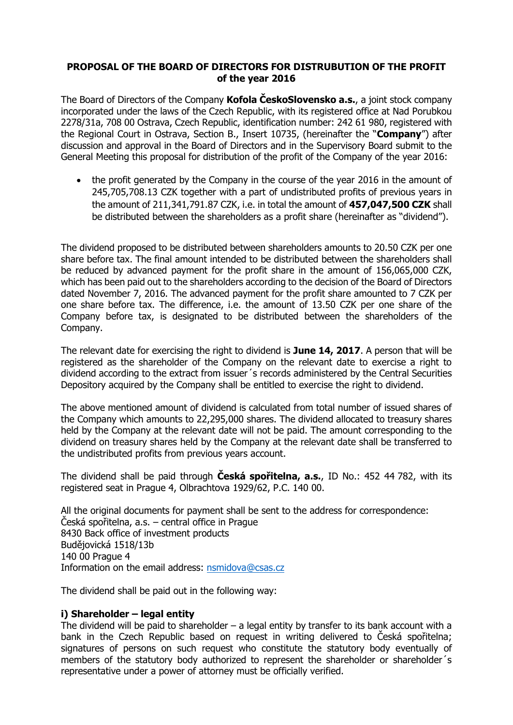## **PROPOSAL OF THE BOARD OF DIRECTORS FOR DISTRUBUTION OF THE PROFIT of the year 2016**

The Board of Directors of the Company **Kofola ČeskoSlovensko a.s.**, a joint stock company incorporated under the laws of the Czech Republic, with its registered office at Nad Porubkou 2278/31a, 708 00 Ostrava, Czech Republic, identification number: 242 61 980, registered with the Regional Court in Ostrava, Section B., Insert 10735, (hereinafter the "**Company**") after discussion and approval in the Board of Directors and in the Supervisory Board submit to the General Meeting this proposal for distribution of the profit of the Company of the year 2016:

• the profit generated by the Company in the course of the year 2016 in the amount of 245,705,708.13 CZK together with a part of undistributed profits of previous years in the amount of 211,341,791.87 CZK, i.e. in total the amount of **457,047,500 CZK** shall be distributed between the shareholders as a profit share (hereinafter as "dividend").

The dividend proposed to be distributed between shareholders amounts to 20.50 CZK per one share before tax. The final amount intended to be distributed between the shareholders shall be reduced by advanced payment for the profit share in the amount of 156,065,000 CZK, which has been paid out to the shareholders according to the decision of the Board of Directors dated November 7, 2016. The advanced payment for the profit share amounted to 7 CZK per one share before tax. The difference, i.e. the amount of 13.50 CZK per one share of the Company before tax, is designated to be distributed between the shareholders of the Company.

The relevant date for exercising the right to dividend is **June 14, 2017**. A person that will be registered as the shareholder of the Company on the relevant date to exercise a right to dividend according to the extract from issuer´s records administered by the Central Securities Depository acquired by the Company shall be entitled to exercise the right to dividend.

The above mentioned amount of dividend is calculated from total number of issued shares of the Company which amounts to 22,295,000 shares. The dividend allocated to treasury shares held by the Company at the relevant date will not be paid. The amount corresponding to the dividend on treasury shares held by the Company at the relevant date shall be transferred to the undistributed profits from previous years account.

The dividend shall be paid through **Česká spořitelna, a.s.**, ID No.: 452 44 782, with its registered seat in Prague 4, Olbrachtova 1929/62, P.C. 140 00.

All the original documents for payment shall be sent to the address for correspondence: Česká spořitelna, a.s. – central office in Prague 8430 Back office of investment products Budějovická 1518/13b 140 00 Prague 4 Information on the email address: [nsmidova@csas.cz](mailto:nsmidova@csas.cz)

The dividend shall be paid out in the following way:

# **i) Shareholder – legal entity**

The dividend will be paid to shareholder  $-$  a legal entity by transfer to its bank account with a bank in the Czech Republic based on request in writing delivered to Česká spořitelna; signatures of persons on such request who constitute the statutory body eventually of members of the statutory body authorized to represent the shareholder or shareholder´s representative under a power of attorney must be officially verified.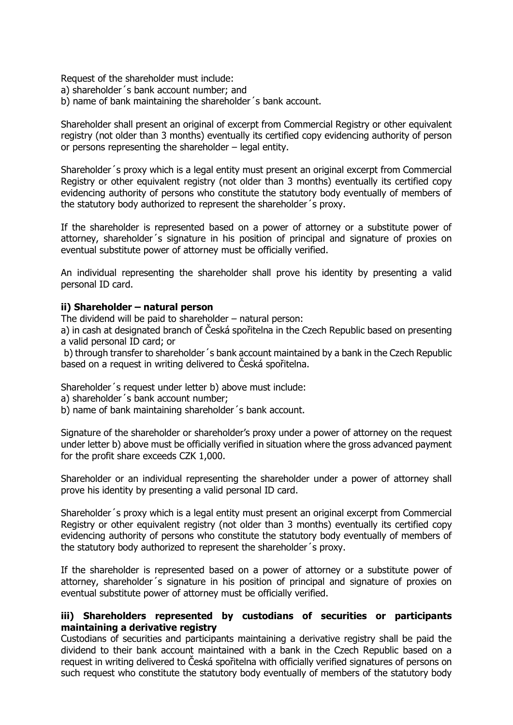Request of the shareholder must include:

- a) shareholder´s bank account number; and
- b) name of bank maintaining the shareholder´s bank account.

Shareholder shall present an original of excerpt from Commercial Registry or other equivalent registry (not older than 3 months) eventually its certified copy evidencing authority of person or persons representing the shareholder – legal entity.

Shareholder´s proxy which is a legal entity must present an original excerpt from Commercial Registry or other equivalent registry (not older than 3 months) eventually its certified copy evidencing authority of persons who constitute the statutory body eventually of members of the statutory body authorized to represent the shareholder´s proxy.

If the shareholder is represented based on a power of attorney or a substitute power of attorney, shareholder´s signature in his position of principal and signature of proxies on eventual substitute power of attorney must be officially verified.

An individual representing the shareholder shall prove his identity by presenting a valid personal ID card.

### **ii) Shareholder – natural person**

The dividend will be paid to shareholder – natural person:

a) in cash at designated branch of Česká spořitelna in the Czech Republic based on presenting a valid personal ID card; or

b) through transfer to shareholder´s bank account maintained by a bank in the Czech Republic based on a request in writing delivered to Česká spořitelna.

Shareholder´s request under letter b) above must include:

- a) shareholder´s bank account number;
- b) name of bank maintaining shareholder´s bank account.

Signature of the shareholder or shareholder's proxy under a power of attorney on the request under letter b) above must be officially verified in situation where the gross advanced payment for the profit share exceeds CZK 1,000.

Shareholder or an individual representing the shareholder under a power of attorney shall prove his identity by presenting a valid personal ID card.

Shareholder´s proxy which is a legal entity must present an original excerpt from Commercial Registry or other equivalent registry (not older than 3 months) eventually its certified copy evidencing authority of persons who constitute the statutory body eventually of members of the statutory body authorized to represent the shareholder´s proxy.

If the shareholder is represented based on a power of attorney or a substitute power of attorney, shareholder´s signature in his position of principal and signature of proxies on eventual substitute power of attorney must be officially verified.

### **iii) Shareholders represented by custodians of securities or participants maintaining a derivative registry**

Custodians of securities and participants maintaining a derivative registry shall be paid the dividend to their bank account maintained with a bank in the Czech Republic based on a request in writing delivered to Česká spořitelna with officially verified signatures of persons on such request who constitute the statutory body eventually of members of the statutory body